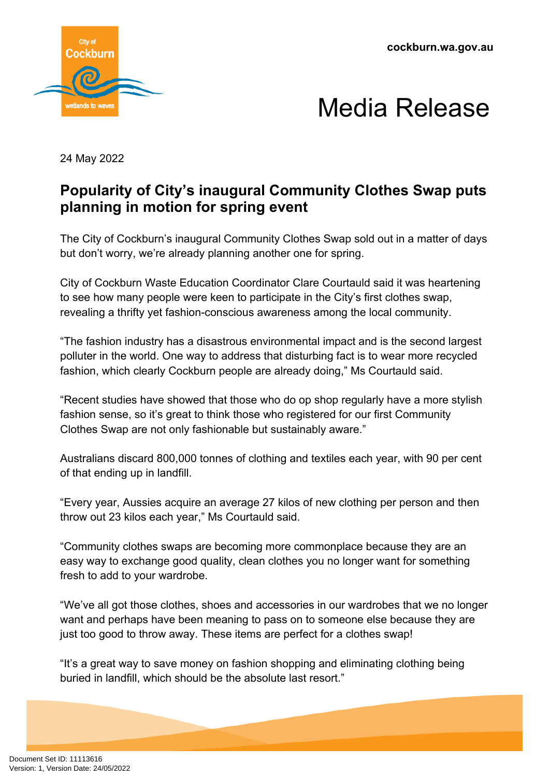**cockburn.wa.gov.au**





24 May 2022

## **Popularity of City's inaugural Community Clothes Swap puts planning in motion for spring event**

The City of Cockburn's inaugural Community Clothes Swap sold out in a matter of days but don't worry, we're already planning another one for spring.

City of Cockburn Waste Education Coordinator Clare Courtauld said it was heartening to see how many people were keen to participate in the City's first clothes swap, revealing a thrifty yet fashion-conscious awareness among the local community.

"The fashion industry has a disastrous environmental impact and is the second largest polluter in the world. One way to address that disturbing fact is to wear more recycled fashion, which clearly Cockburn people are already doing," Ms Courtauld said.

"Recent studies have showed that those who do op shop regularly have a more stylish fashion sense, so it's great to think those who registered for our first Community Clothes Swap are not only fashionable but sustainably aware."

Australians discard 800,000 tonnes of clothing and textiles each year, with 90 per cent of that ending up in landfill.

"Every year, Aussies acquire an average 27 kilos of new clothing per person and then throw out 23 kilos each year," Ms Courtauld said.

"Community clothes swaps are becoming more commonplace because they are an easy way to exchange good quality, clean clothes you no longer want for something fresh to add to your wardrobe.

"We've all got those clothes, shoes and accessories in our wardrobes that we no longer want and perhaps have been meaning to pass on to someone else because they are just too good to throw away. These items are perfect for a clothes swap!

"It's a great way to save money on fashion shopping and eliminating clothing being buried in landfill, which should be the absolute last resort."